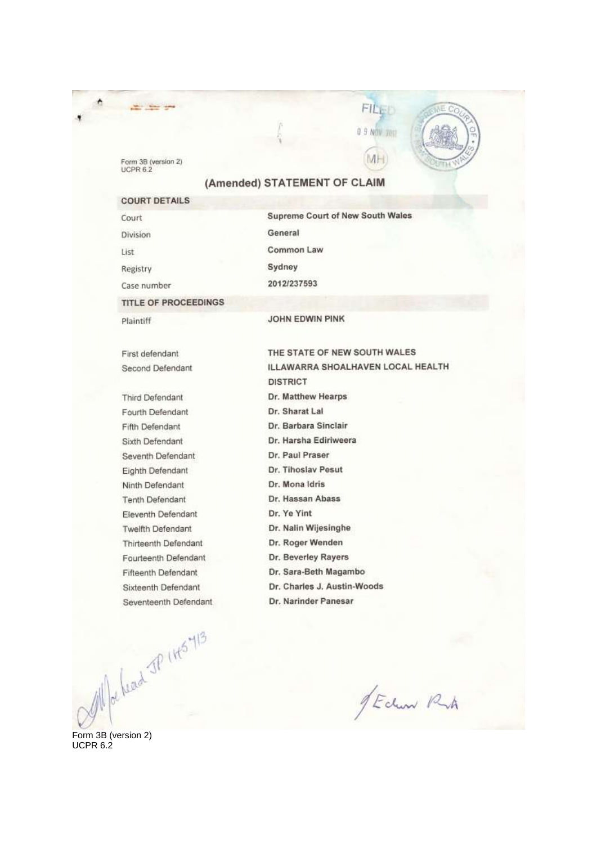Form 3B (version 2)<br>UCPR 6.2

the company of

# (Amended) STATEMENT OF CLAIM

FILED

0 9 NOV 7017

MH

C

**COURT DETAILS Supreme Court of New South Wales** Court General Division Common Law List Sydney Registry 2012/237593 Case number **TITLE OF PROCEEDINGS** 

Plaintiff

JOHN EDWIN PINK

First defendant Second Defendant

Third Defendant Fourth Defendant Fifth Defendant Sixth Defendant Seventh Defendant Eighth Defendant Ninth Defendant **Tenth Defendant** Eleventh Defendant Twelfth Defendant Thirteenth Defendant Fourteenth Defendant Fifteenth Defendant Sixteenth Defendant Seventeenth Defendant

 $\frac{d}{dr} \int_{\text{Cersin 2}} \int_{\text{Cersin 2}} \frac{1}{r} \, dr \, dr \, dr \, dr$ 

THE STATE OF NEW SOUTH WALES ILLAWARRA SHOALHAVEN LOCAL HEALTH **DISTRICT** Dr. Matthew Hearps Dr. Sharat Lal Dr. Barbara Sinclair Dr. Harsha Ediriweera Dr. Paul Praser Dr. Tihoslav Pesut Dr. Mona Idris Dr. Hassan Abass Dr. Ye Yint Dr. Nalin Wijesinghe Dr. Roger Wenden Dr. Beverley Rayers Dr. Sara-Beth Magambo Dr. Charles J. Austin-Woods Dr. Narinder Panesar

JEdwar Ruh

UCPR 6.2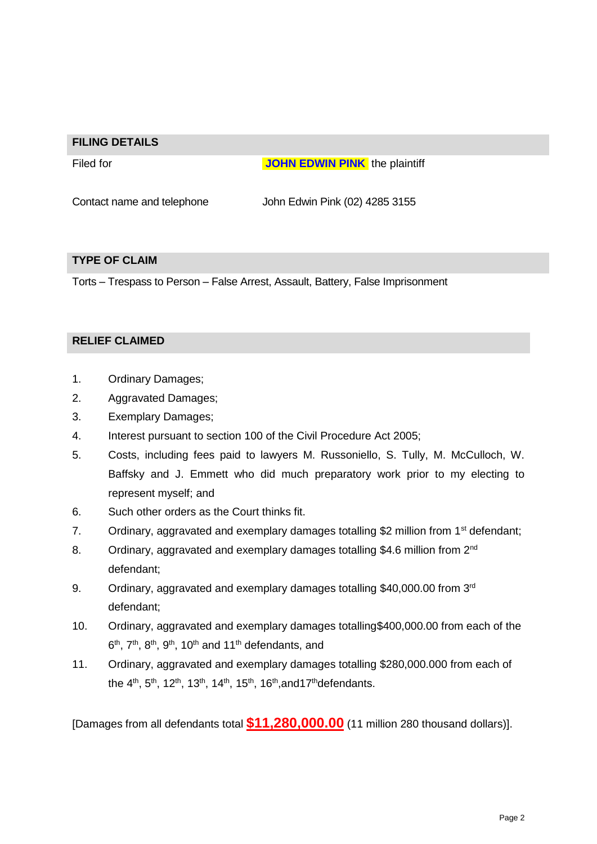#### **FILING DETAILS**

**Filed for the state of the state of the state of JOHN EDWIN PINK** the plaintiff

Contact name and telephone John Edwin Pink (02) 4285 3155

### **TYPE OF CLAIM**

Torts – Trespass to Person – False Arrest, Assault, Battery, False Imprisonment

## **RELIEF CLAIMED**

- 1. Ordinary Damages;
- 2. Aggravated Damages;
- 3. Exemplary Damages;
- 4. Interest pursuant to section 100 of the Civil Procedure Act 2005;
- 5. Costs, including fees paid to lawyers M. Russoniello, S. Tully, M. McCulloch, W. Baffsky and J. Emmett who did much preparatory work prior to my electing to represent myself; and
- 6. Such other orders as the Court thinks fit.
- 7. Ordinary, aggravated and exemplary damages totalling \$2 million from  $1<sup>st</sup>$  defendant;
- 8. Ordinary, aggravated and exemplary damages totalling \$4.6 million from 2<sup>nd</sup> defendant;
- 9. Ordinary, aggravated and exemplary damages totalling \$40,000.00 from 3rd defendant;
- 10. Ordinary, aggravated and exemplary damages totalling\$400,000.00 from each of the  $6<sup>th</sup>$ ,  $7<sup>th</sup>$ ,  $8<sup>th</sup>$ ,  $9<sup>th</sup>$ , 10<sup>th</sup> and 11<sup>th</sup> defendants, and
- 11. Ordinary, aggravated and exemplary damages totalling \$280,000.000 from each of the 4<sup>th</sup>, 5<sup>th</sup>, 12<sup>th</sup>, 13<sup>th</sup>, 14<sup>th</sup>, 15<sup>th</sup>, 16<sup>th</sup>, and 17<sup>th</sup> defendants.

[Damages from all defendants total **\$11,280,000.00** (11 million 280 thousand dollars)].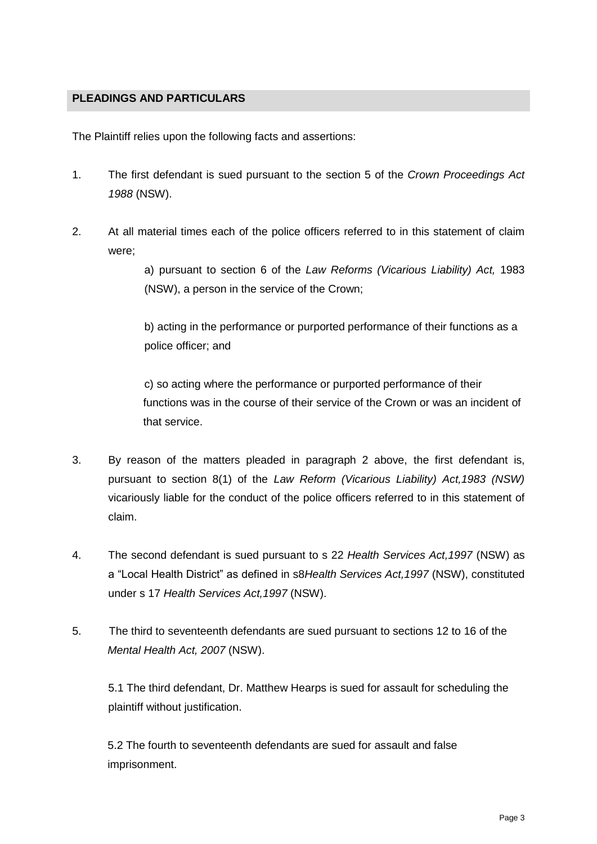# **PLEADINGS AND PARTICULARS**

The Plaintiff relies upon the following facts and assertions:

- 1. The first defendant is sued pursuant to the section 5 of the *Crown Proceedings Act 1988* (NSW).
- 2. At all material times each of the police officers referred to in this statement of claim were;

a) pursuant to section 6 of the *Law Reforms (Vicarious Liability) Act,* 1983 (NSW), a person in the service of the Crown;

b) acting in the performance or purported performance of their functions as a police officer; and

c) so acting where the performance or purported performance of their functions was in the course of their service of the Crown or was an incident of that service.

- 3. By reason of the matters pleaded in paragraph 2 above, the first defendant is, pursuant to section 8(1) of the *Law Reform (Vicarious Liability) Act,1983 (NSW)*  vicariously liable for the conduct of the police officers referred to in this statement of claim.
- 4. The second defendant is sued pursuant to s 22 *Health Services Act,1997* (NSW) as a "Local Health District" as defined in s8*Health Services Act,1997* (NSW), constituted under s 17 *Health Services Act,1997* (NSW).
- 5. The third to seventeenth defendants are sued pursuant to sections 12 to 16 of the *Mental Health Act, 2007* (NSW).

5.1 The third defendant, Dr. Matthew Hearps is sued for assault for scheduling the plaintiff without justification.

5.2 The fourth to seventeenth defendants are sued for assault and false imprisonment.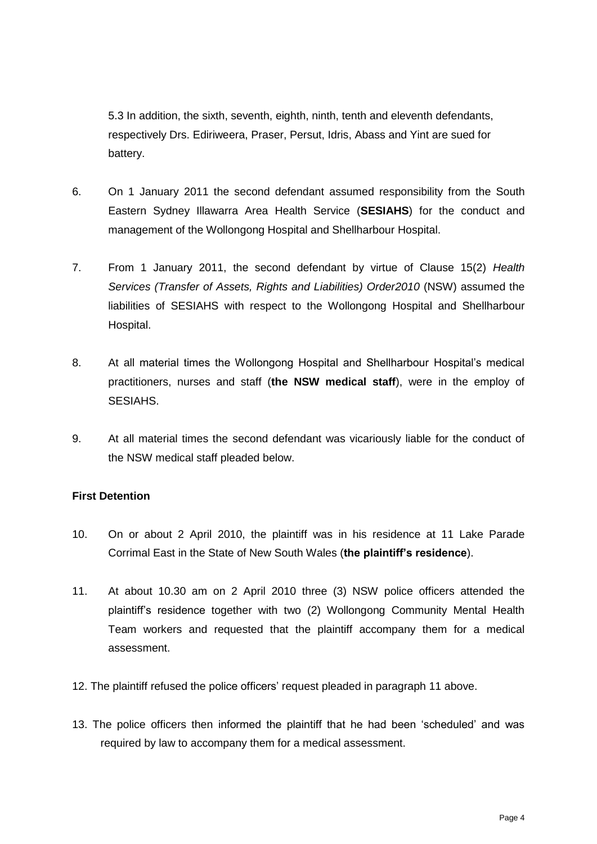5.3 In addition, the sixth, seventh, eighth, ninth, tenth and eleventh defendants, respectively Drs. Ediriweera, Praser, Persut, Idris, Abass and Yint are sued for battery.

- 6. On 1 January 2011 the second defendant assumed responsibility from the South Eastern Sydney Illawarra Area Health Service (**SESIAHS**) for the conduct and management of the Wollongong Hospital and Shellharbour Hospital.
- 7. From 1 January 2011, the second defendant by virtue of Clause 15(2) *Health Services (Transfer of Assets, Rights and Liabilities) Order2010* (NSW) assumed the liabilities of SESIAHS with respect to the Wollongong Hospital and Shellharbour Hospital.
- 8. At all material times the Wollongong Hospital and Shellharbour Hospital's medical practitioners, nurses and staff (**the NSW medical staff**), were in the employ of SESIAHS.
- 9. At all material times the second defendant was vicariously liable for the conduct of the NSW medical staff pleaded below.

# **First Detention**

- 10. On or about 2 April 2010, the plaintiff was in his residence at 11 Lake Parade Corrimal East in the State of New South Wales (**the plaintiff's residence**).
- 11. At about 10.30 am on 2 April 2010 three (3) NSW police officers attended the plaintiff's residence together with two (2) Wollongong Community Mental Health Team workers and requested that the plaintiff accompany them for a medical assessment.
- 12. The plaintiff refused the police officers' request pleaded in paragraph 11 above.
- 13. The police officers then informed the plaintiff that he had been 'scheduled' and was required by law to accompany them for a medical assessment.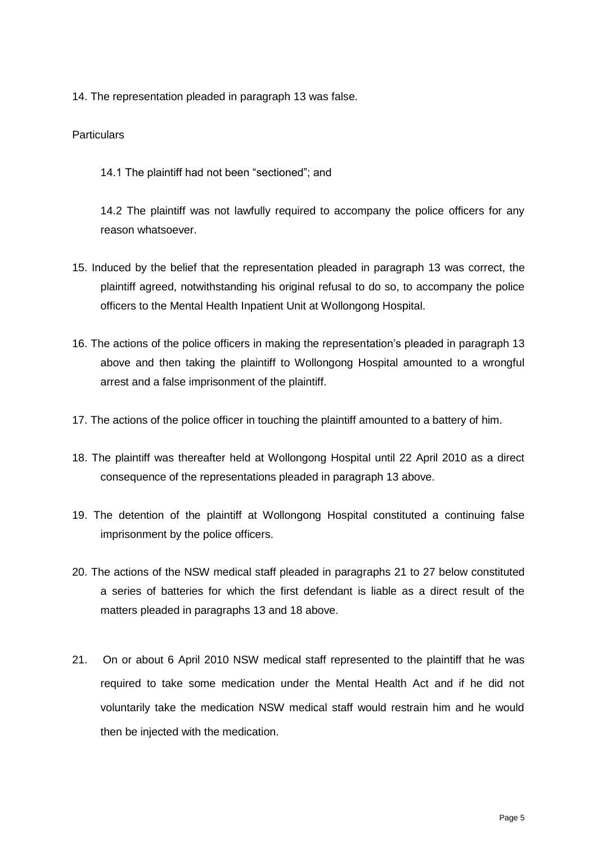14. The representation pleaded in paragraph 13 was false.

## **Particulars**

14.1 The plaintiff had not been "sectioned"; and

14.2 The plaintiff was not lawfully required to accompany the police officers for any reason whatsoever.

- 15. Induced by the belief that the representation pleaded in paragraph 13 was correct, the plaintiff agreed, notwithstanding his original refusal to do so, to accompany the police officers to the Mental Health Inpatient Unit at Wollongong Hospital.
- 16. The actions of the police officers in making the representation's pleaded in paragraph 13 above and then taking the plaintiff to Wollongong Hospital amounted to a wrongful arrest and a false imprisonment of the plaintiff.
- 17. The actions of the police officer in touching the plaintiff amounted to a battery of him.
- 18. The plaintiff was thereafter held at Wollongong Hospital until 22 April 2010 as a direct consequence of the representations pleaded in paragraph 13 above.
- 19. The detention of the plaintiff at Wollongong Hospital constituted a continuing false imprisonment by the police officers.
- 20. The actions of the NSW medical staff pleaded in paragraphs 21 to 27 below constituted a series of batteries for which the first defendant is liable as a direct result of the matters pleaded in paragraphs 13 and 18 above.
- 21. On or about 6 April 2010 NSW medical staff represented to the plaintiff that he was required to take some medication under the Mental Health Act and if he did not voluntarily take the medication NSW medical staff would restrain him and he would then be injected with the medication.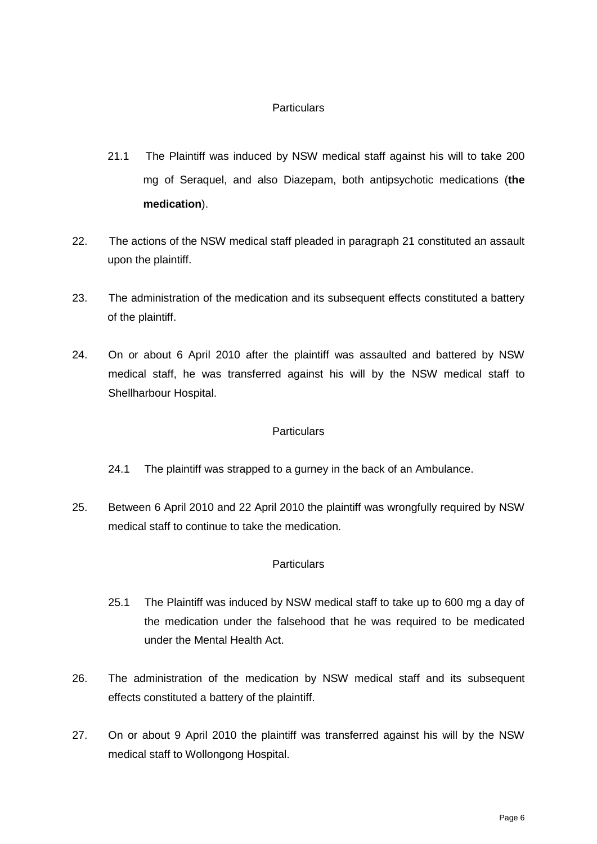# **Particulars**

- 21.1 The Plaintiff was induced by NSW medical staff against his will to take 200 mg of Seraquel, and also Diazepam, both antipsychotic medications (**the medication**).
- 22. The actions of the NSW medical staff pleaded in paragraph 21 constituted an assault upon the plaintiff.
- 23. The administration of the medication and its subsequent effects constituted a battery of the plaintiff.
- 24. On or about 6 April 2010 after the plaintiff was assaulted and battered by NSW medical staff, he was transferred against his will by the NSW medical staff to Shellharbour Hospital.

### **Particulars**

- 24.1 The plaintiff was strapped to a gurney in the back of an Ambulance.
- 25. Between 6 April 2010 and 22 April 2010 the plaintiff was wrongfully required by NSW medical staff to continue to take the medication.

# **Particulars**

- 25.1 The Plaintiff was induced by NSW medical staff to take up to 600 mg a day of the medication under the falsehood that he was required to be medicated under the Mental Health Act.
- 26. The administration of the medication by NSW medical staff and its subsequent effects constituted a battery of the plaintiff.
- 27. On or about 9 April 2010 the plaintiff was transferred against his will by the NSW medical staff to Wollongong Hospital.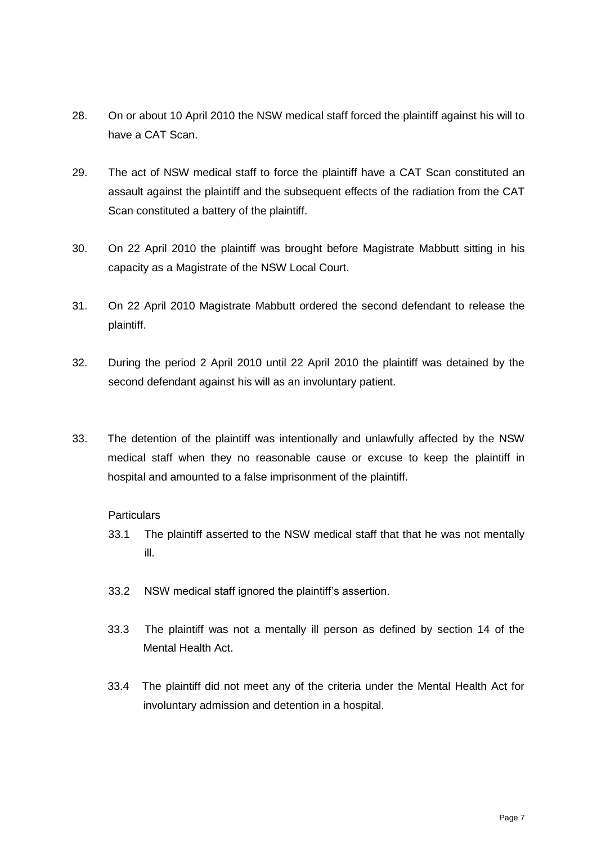- 28. On or about 10 April 2010 the NSW medical staff forced the plaintiff against his will to have a CAT Scan.
- 29. The act of NSW medical staff to force the plaintiff have a CAT Scan constituted an assault against the plaintiff and the subsequent effects of the radiation from the CAT Scan constituted a battery of the plaintiff.
- 30. On 22 April 2010 the plaintiff was brought before Magistrate Mabbutt sitting in his capacity as a Magistrate of the NSW Local Court.
- 31. On 22 April 2010 Magistrate Mabbutt ordered the second defendant to release the plaintiff.
- 32. During the period 2 April 2010 until 22 April 2010 the plaintiff was detained by the second defendant against his will as an involuntary patient.
- 33. The detention of the plaintiff was intentionally and unlawfully affected by the NSW medical staff when they no reasonable cause or excuse to keep the plaintiff in hospital and amounted to a false imprisonment of the plaintiff.

# **Particulars**

- 33.1 The plaintiff asserted to the NSW medical staff that that he was not mentally ill.
- 33.2 NSW medical staff ignored the plaintiff's assertion.
- 33.3 The plaintiff was not a mentally ill person as defined by section 14 of the Mental Health Act.
- 33.4 The plaintiff did not meet any of the criteria under the Mental Health Act for involuntary admission and detention in a hospital.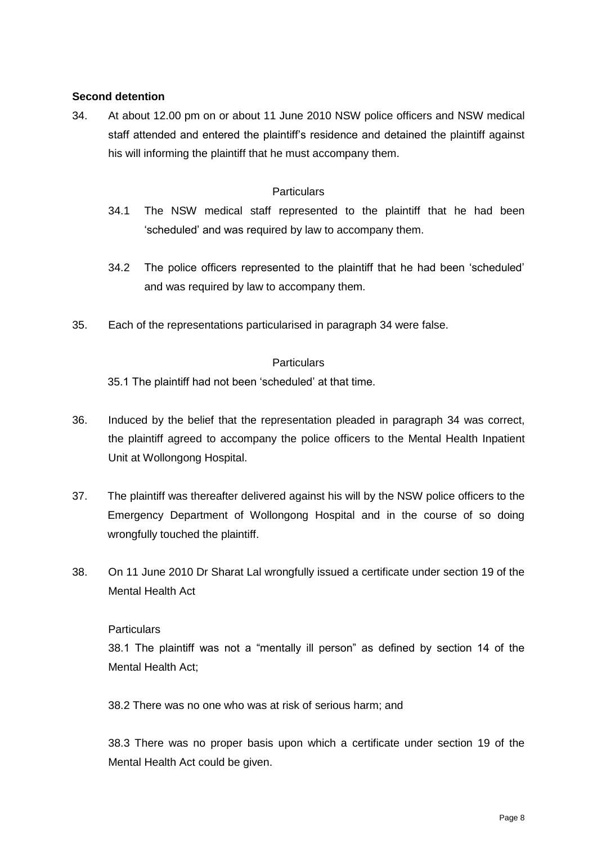# **Second detention**

34. At about 12.00 pm on or about 11 June 2010 NSW police officers and NSW medical staff attended and entered the plaintiff's residence and detained the plaintiff against his will informing the plaintiff that he must accompany them.

### **Particulars**

- 34.1 The NSW medical staff represented to the plaintiff that he had been 'scheduled' and was required by law to accompany them.
- 34.2 The police officers represented to the plaintiff that he had been 'scheduled' and was required by law to accompany them.
- 35. Each of the representations particularised in paragraph 34 were false.

### **Particulars**

35.1 The plaintiff had not been 'scheduled' at that time.

- 36. Induced by the belief that the representation pleaded in paragraph 34 was correct, the plaintiff agreed to accompany the police officers to the Mental Health Inpatient Unit at Wollongong Hospital.
- 37. The plaintiff was thereafter delivered against his will by the NSW police officers to the Emergency Department of Wollongong Hospital and in the course of so doing wrongfully touched the plaintiff.
- 38. On 11 June 2010 Dr Sharat Lal wrongfully issued a certificate under section 19 of the Mental Health Act

### **Particulars**

38.1 The plaintiff was not a "mentally ill person" as defined by section 14 of the Mental Health Act;

38.2 There was no one who was at risk of serious harm; and

38.3 There was no proper basis upon which a certificate under section 19 of the Mental Health Act could be given.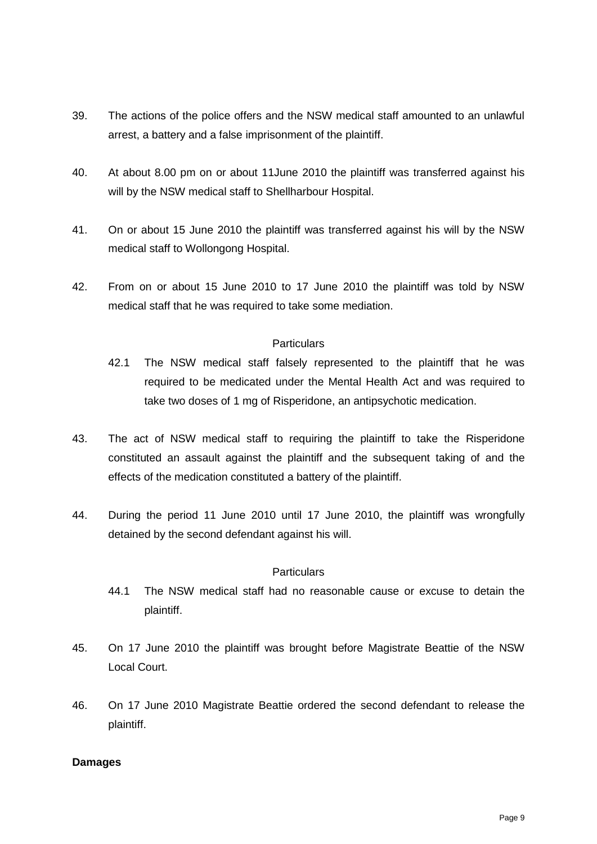- 39. The actions of the police offers and the NSW medical staff amounted to an unlawful arrest, a battery and a false imprisonment of the plaintiff.
- 40. At about 8.00 pm on or about 11June 2010 the plaintiff was transferred against his will by the NSW medical staff to Shellharbour Hospital.
- 41. On or about 15 June 2010 the plaintiff was transferred against his will by the NSW medical staff to Wollongong Hospital.
- 42. From on or about 15 June 2010 to 17 June 2010 the plaintiff was told by NSW medical staff that he was required to take some mediation.

## **Particulars**

- 42.1 The NSW medical staff falsely represented to the plaintiff that he was required to be medicated under the Mental Health Act and was required to take two doses of 1 mg of Risperidone, an antipsychotic medication.
- 43. The act of NSW medical staff to requiring the plaintiff to take the Risperidone constituted an assault against the plaintiff and the subsequent taking of and the effects of the medication constituted a battery of the plaintiff.
- 44. During the period 11 June 2010 until 17 June 2010, the plaintiff was wrongfully detained by the second defendant against his will.

### **Particulars**

- 44.1 The NSW medical staff had no reasonable cause or excuse to detain the plaintiff.
- 45. On 17 June 2010 the plaintiff was brought before Magistrate Beattie of the NSW Local Court.
- 46. On 17 June 2010 Magistrate Beattie ordered the second defendant to release the plaintiff.

### **Damages**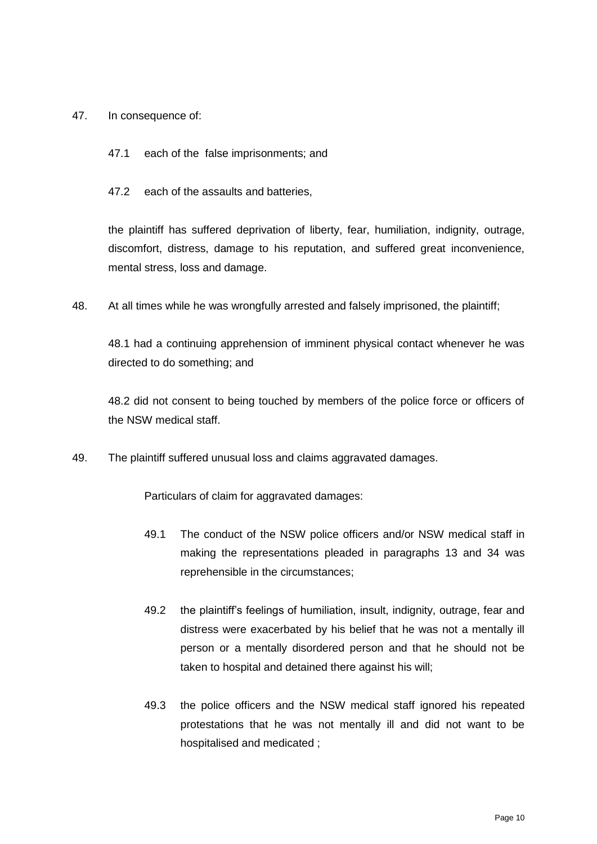#### 47. In consequence of:

- 47.1 each of the false imprisonments; and
- 47.2 each of the assaults and batteries,

the plaintiff has suffered deprivation of liberty, fear, humiliation, indignity, outrage, discomfort, distress, damage to his reputation, and suffered great inconvenience, mental stress, loss and damage.

48. At all times while he was wrongfully arrested and falsely imprisoned, the plaintiff;

48.1 had a continuing apprehension of imminent physical contact whenever he was directed to do something; and

48.2 did not consent to being touched by members of the police force or officers of the NSW medical staff.

49. The plaintiff suffered unusual loss and claims aggravated damages.

Particulars of claim for aggravated damages:

- 49.1 The conduct of the NSW police officers and/or NSW medical staff in making the representations pleaded in paragraphs 13 and 34 was reprehensible in the circumstances;
- 49.2 the plaintiff's feelings of humiliation, insult, indignity, outrage, fear and distress were exacerbated by his belief that he was not a mentally ill person or a mentally disordered person and that he should not be taken to hospital and detained there against his will;
- 49.3 the police officers and the NSW medical staff ignored his repeated protestations that he was not mentally ill and did not want to be hospitalised and medicated ;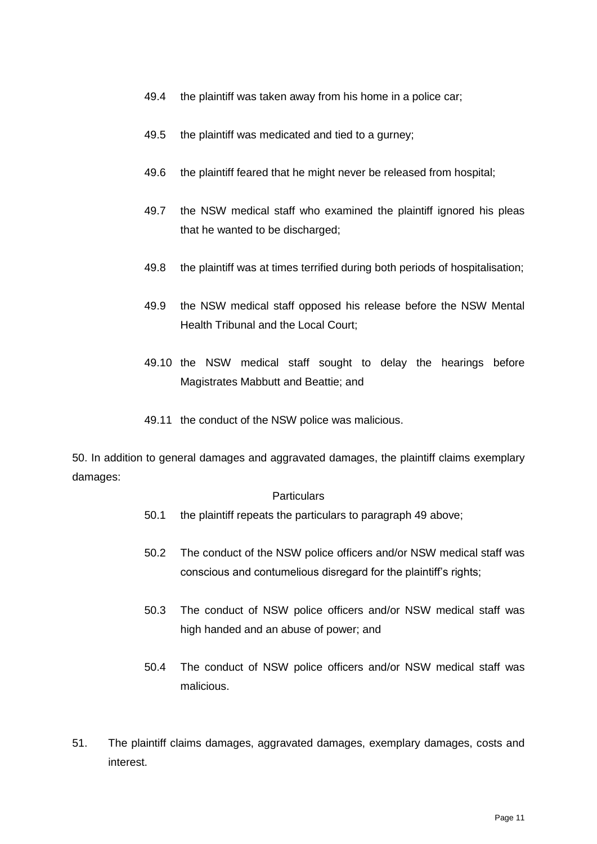- 49.4 the plaintiff was taken away from his home in a police car;
- 49.5 the plaintiff was medicated and tied to a gurney;
- 49.6 the plaintiff feared that he might never be released from hospital;
- 49.7 the NSW medical staff who examined the plaintiff ignored his pleas that he wanted to be discharged;
- 49.8 the plaintiff was at times terrified during both periods of hospitalisation;
- 49.9 the NSW medical staff opposed his release before the NSW Mental Health Tribunal and the Local Court;
- 49.10 the NSW medical staff sought to delay the hearings before Magistrates Mabbutt and Beattie; and
- 49.11 the conduct of the NSW police was malicious.

50. In addition to general damages and aggravated damages, the plaintiff claims exemplary damages:

#### **Particulars**

- 50.1 the plaintiff repeats the particulars to paragraph 49 above;
- 50.2 The conduct of the NSW police officers and/or NSW medical staff was conscious and contumelious disregard for the plaintiff's rights;
- 50.3 The conduct of NSW police officers and/or NSW medical staff was high handed and an abuse of power; and
- 50.4 The conduct of NSW police officers and/or NSW medical staff was malicious.
- 51. The plaintiff claims damages, aggravated damages, exemplary damages, costs and interest.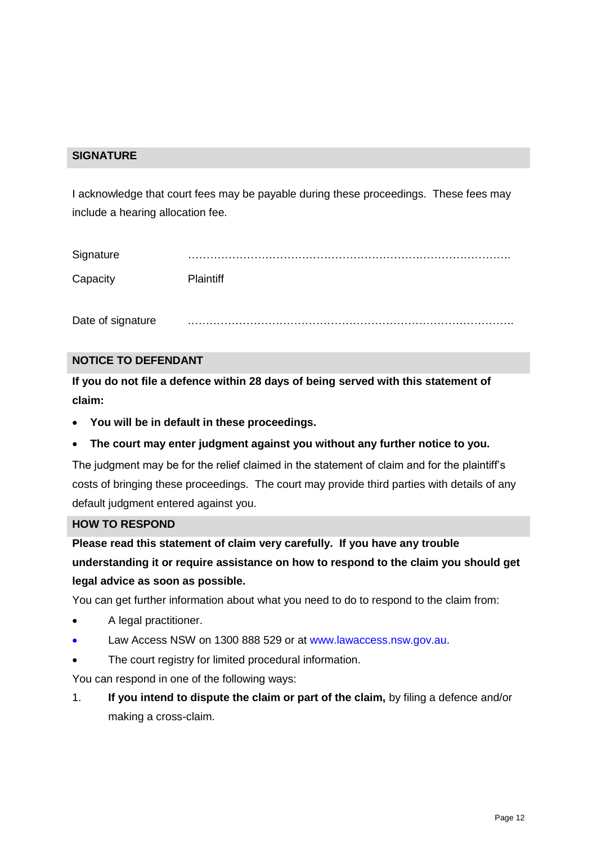## **SIGNATURE**

I acknowledge that court fees may be payable during these proceedings. These fees may include a hearing allocation fee.

| Signature |           |
|-----------|-----------|
| Capacity  | DIointitl |

Date of signature

### **NOTICE TO DEFENDANT**

**If you do not file a defence within 28 days of being served with this statement of claim:**

- **You will be in default in these proceedings.**
- **The court may enter judgment against you without any further notice to you.**

The judgment may be for the relief claimed in the statement of claim and for the plaintiff's costs of bringing these proceedings. The court may provide third parties with details of any default judgment entered against you.

#### **HOW TO RESPOND**

**Please read this statement of claim very carefully. If you have any trouble understanding it or require assistance on how to respond to the claim you should get legal advice as soon as possible.**

You can get further information about what you need to do to respond to the claim from:

- A legal practitioner.
- Law Access NSW on 1300 888 529 or at [www.lawaccess.nsw.gov.au.](http://www.lawaccess.nsw.gov.au/)
- The court registry for limited procedural information.

You can respond in one of the following ways:

1. **If you intend to dispute the claim or part of the claim,** by filing a defence and/or making a cross-claim.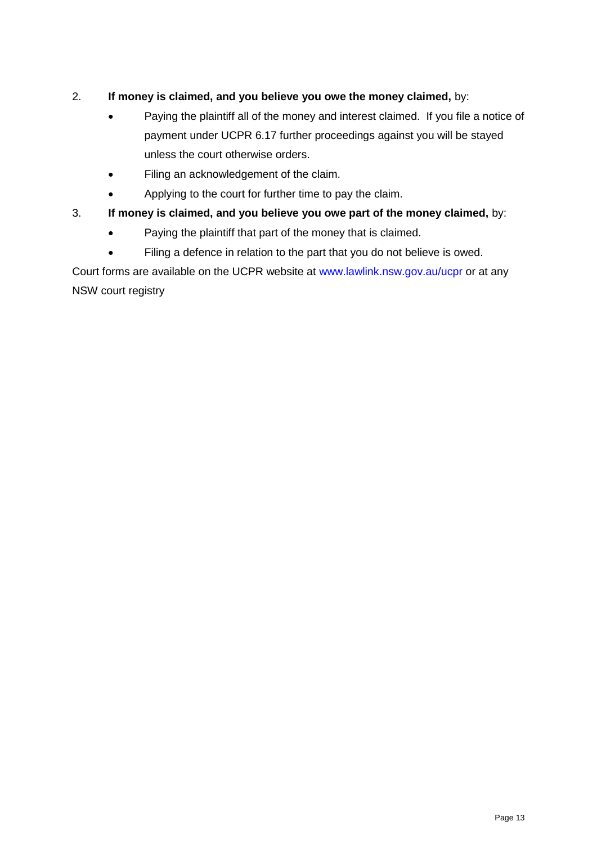# 2. **If money is claimed, and you believe you owe the money claimed,** by:

- Paying the plaintiff all of the money and interest claimed. If you file a notice of payment under UCPR 6.17 further proceedings against you will be stayed unless the court otherwise orders.
- Filing an acknowledgement of the claim.
- Applying to the court for further time to pay the claim.

# 3. **If money is claimed, and you believe you owe part of the money claimed,** by:

- Paying the plaintiff that part of the money that is claimed.
- Filing a defence in relation to the part that you do not believe is owed.

Court forms are available on the UCPR website at [www.lawlink.nsw.gov.au/ucpr](http://www.lawlink.nsw.gov.au/ucpr) or at any NSW court registry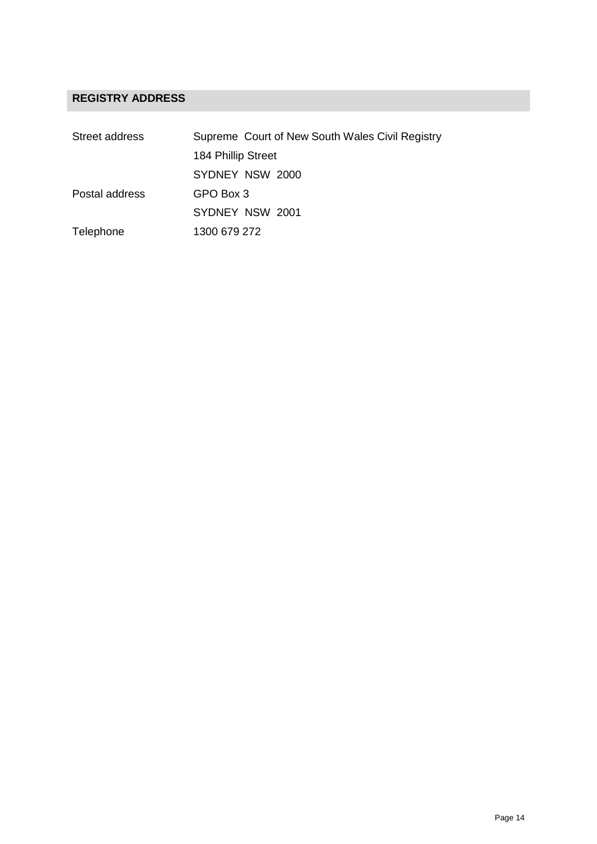# **REGISTRY ADDRESS**

| Street address | Supreme Court of New South Wales Civil Registry |
|----------------|-------------------------------------------------|
|                | 184 Phillip Street                              |
|                | SYDNEY NSW 2000                                 |
| Postal address | GPO Box 3                                       |
|                | SYDNEY NSW 2001                                 |
| Telephone      | 1300 679 272                                    |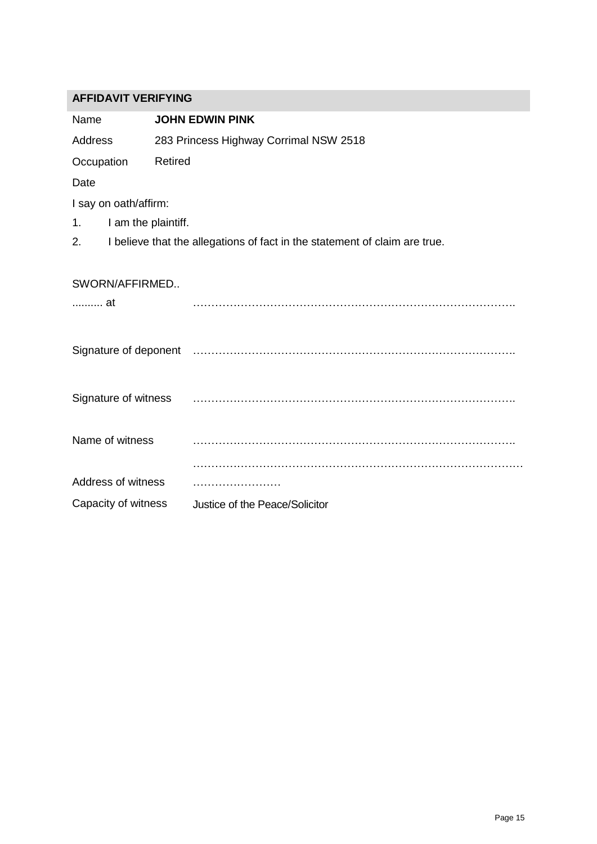| <b>AFFIDAVIT VERIFYING</b> |                                                                            |  |
|----------------------------|----------------------------------------------------------------------------|--|
| Name                       | <b>JOHN EDWIN PINK</b>                                                     |  |
| Address                    | 283 Princess Highway Corrimal NSW 2518                                     |  |
| Occupation                 | Retired                                                                    |  |
| Date                       |                                                                            |  |
| I say on oath/affirm:      |                                                                            |  |
| I am the plaintiff.<br>1.  |                                                                            |  |
| 2.                         | I believe that the allegations of fact in the statement of claim are true. |  |
| SWORN/AFFIRMED<br>at       |                                                                            |  |
|                            |                                                                            |  |
| Signature of witness       |                                                                            |  |
| Name of witness            |                                                                            |  |
|                            |                                                                            |  |
| Address of witness         |                                                                            |  |
| Capacity of witness        | Justice of the Peace/Solicitor                                             |  |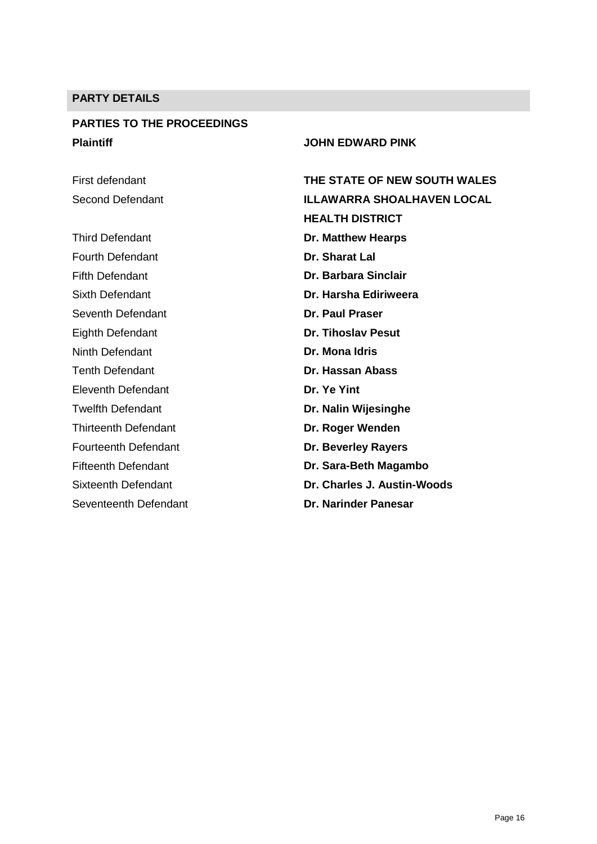# **PARTY DETAILS**

# **PARTIES TO THE PROCEEDINGS Plaintiff JOHN EDWARD PINK**

First defendant Second Defendant

Third Defendant Fourth Defendant Fifth Defendant Sixth Defendant Seventh Defendant Eighth Defendant Ninth Defendant Tenth Defendant Eleventh Defendant Twelfth Defendant Thirteenth Defendant Fourteenth Defendant Fifteenth Defendant Sixteenth Defendant Seventeenth Defendant

| THE STATE OF NEW SOUTH WALES |
|------------------------------|
| ILLAWARRA SHOALHAVEN LOCAL   |
| <b>HEALTH DISTRICT</b>       |
| <b>Dr. Matthew Hearps</b>    |
| Dr. Sharat Lal               |
| Dr. Barbara Sinclair         |
| Dr. Harsha Ediriweera        |
| Dr. Paul Praser              |
| <b>Dr. Tihoslav Pesut</b>    |
| Dr. Mona Idris               |
| Dr. Hassan Abass             |
| Dr. Ye Yint                  |
| Dr. Nalin Wijesinghe         |
| Dr. Roger Wenden             |
| Dr. Beverley Rayers          |
| Dr. Sara-Beth Magambo        |
| Dr. Charles J. Austin-Woods  |
| <b>Dr. Narinder Panesar</b>  |
|                              |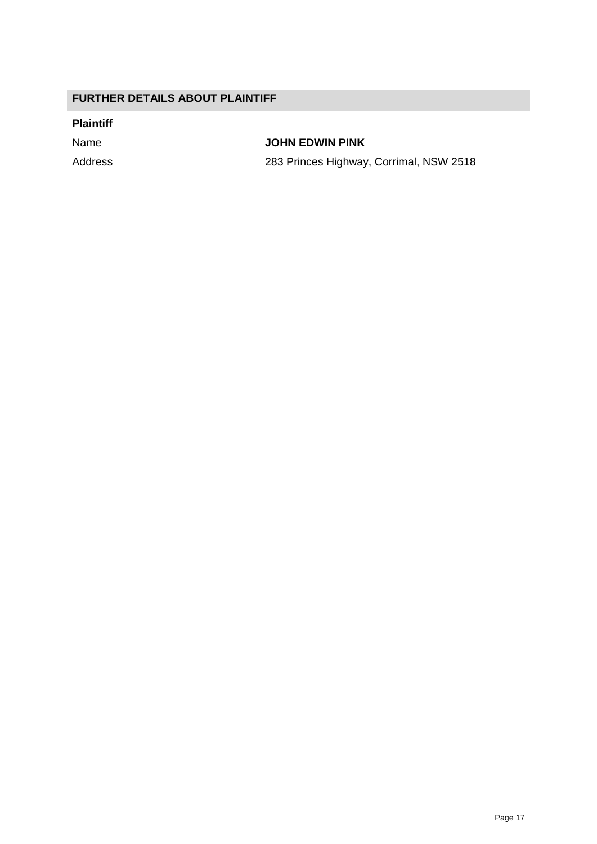# **FURTHER DETAILS ABOUT PLAINTIFF**

### **Plaintiff**

Name **JOHN EDWIN PINK**

Address 283 Princes Highway, Corrimal, NSW 2518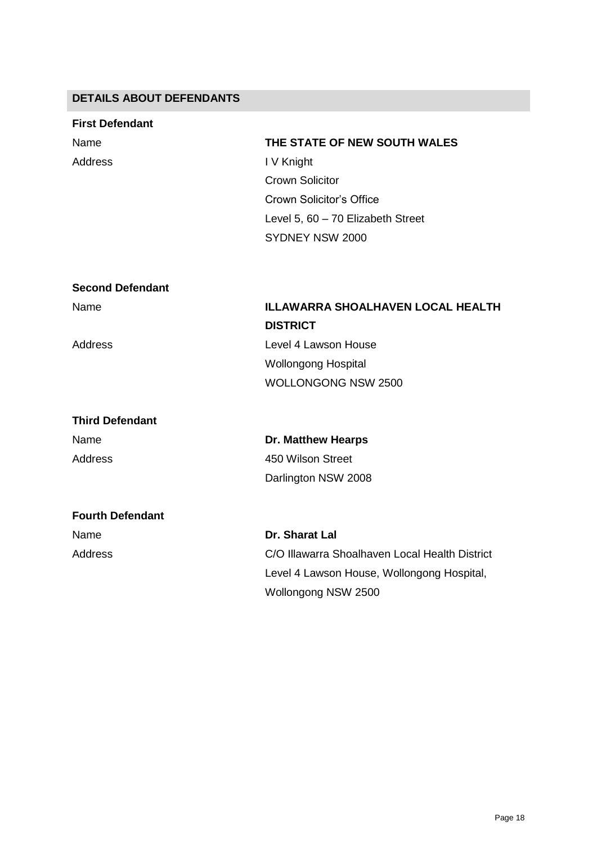# **DETAILS ABOUT DEFENDANTS**

| <b>First Defendant</b>  |                                          |
|-------------------------|------------------------------------------|
| Name                    | THE STATE OF NEW SOUTH WALES             |
| <b>Address</b>          | I V Knight                               |
|                         | <b>Crown Solicitor</b>                   |
|                         | <b>Crown Solicitor's Office</b>          |
|                         | Level 5, 60 - 70 Elizabeth Street        |
|                         | SYDNEY NSW 2000                          |
|                         |                                          |
| <b>Second Defendant</b> |                                          |
| Name                    | <b>ILLAWARRA SHOALHAVEN LOCAL HEALTH</b> |
|                         | <b>DISTRICT</b>                          |
| Address                 | Level 4 Lawson House                     |
|                         | <b>Wollongong Hospital</b>               |
|                         | <b>WOLLONGONG NSW 2500</b>               |
| <b>Third Defendant</b>  |                                          |
| Name                    | <b>Dr. Matthew Hearps</b>                |
| <b>Address</b>          | 450 Wilson Street                        |
|                         | Darlington NSW 2008                      |
| <b>Fourth Defendant</b> |                                          |
| Name                    | Dr. Sharat Lal                           |

Address

C/O Illawarra Shoalhaven Local Health District Level 4 Lawson House, Wollongong Hospital, Wollongong NSW 2500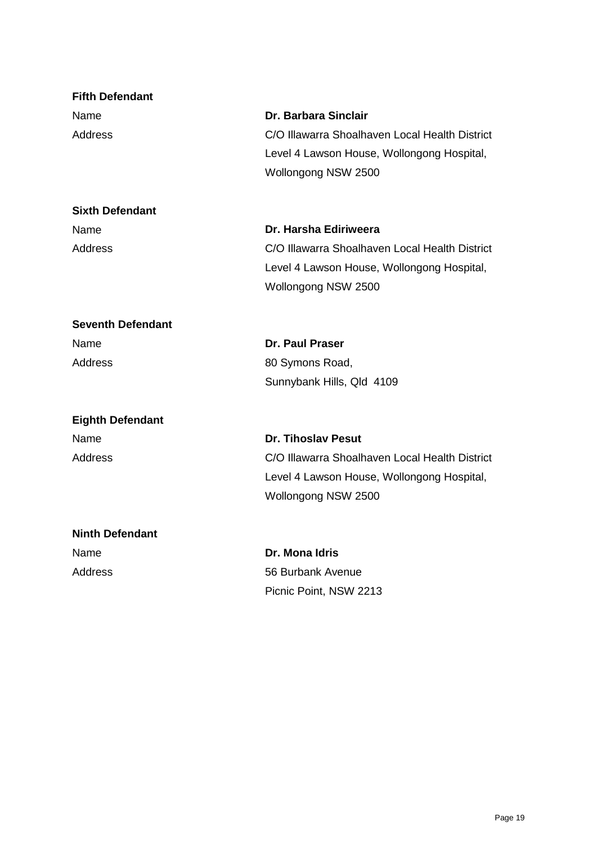| <b>Fifth Defendant</b>   |                                                |
|--------------------------|------------------------------------------------|
| Name                     | Dr. Barbara Sinclair                           |
| Address                  | C/O Illawarra Shoalhaven Local Health District |
|                          | Level 4 Lawson House, Wollongong Hospital,     |
|                          | Wollongong NSW 2500                            |
| <b>Sixth Defendant</b>   |                                                |
| Name                     | Dr. Harsha Ediriweera                          |
| Address                  | C/O Illawarra Shoalhaven Local Health District |
|                          | Level 4 Lawson House, Wollongong Hospital,     |
|                          | Wollongong NSW 2500                            |
| <b>Seventh Defendant</b> |                                                |
| Name                     | <b>Dr. Paul Praser</b>                         |
| Address                  | 80 Symons Road,                                |
|                          | Sunnybank Hills, Qld 4109                      |
| <b>Eighth Defendant</b>  |                                                |
| Name                     | <b>Dr. Tihoslav Pesut</b>                      |
| <b>Address</b>           | C/O Illawarra Shoalhaven Local Health District |
|                          | Level 4 Lawson House, Wollongong Hospital,     |
|                          | Wollongong NSW 2500                            |
| <b>Ninth Defendant</b>   |                                                |
| Name                     | Dr. Mona Idris                                 |
| <b>Address</b>           | 56 Burbank Avenue                              |
|                          | Picnic Point, NSW 2213                         |
|                          |                                                |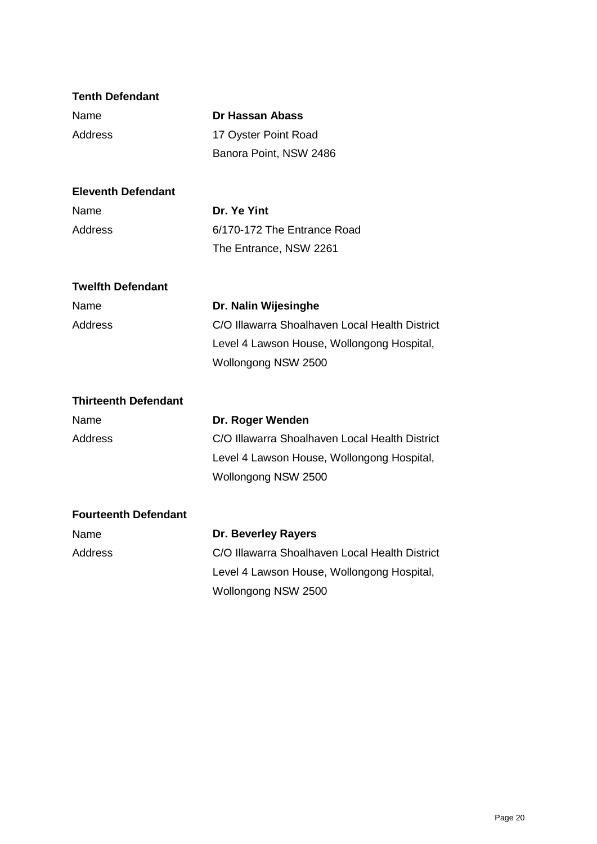| <b>Tenth Defendant</b>      |                                                |
|-----------------------------|------------------------------------------------|
| Name                        | <b>Dr Hassan Abass</b>                         |
| <b>Address</b>              | 17 Oyster Point Road                           |
|                             | Banora Point, NSW 2486                         |
| <b>Eleventh Defendant</b>   |                                                |
| Name                        | Dr. Ye Yint                                    |
| <b>Address</b>              | 6/170-172 The Entrance Road                    |
|                             | The Entrance, NSW 2261                         |
| <b>Twelfth Defendant</b>    |                                                |
| Name                        | Dr. Nalin Wijesinghe                           |
| <b>Address</b>              | C/O Illawarra Shoalhaven Local Health District |
|                             | Level 4 Lawson House, Wollongong Hospital,     |
|                             | Wollongong NSW 2500                            |
| <b>Thirteenth Defendant</b> |                                                |
| Name                        | Dr. Roger Wenden                               |
| <b>Address</b>              | C/O Illawarra Shoalhaven Local Health District |
|                             | Level 4 Lawson House, Wollongong Hospital,     |
|                             | Wollongong NSW 2500                            |
| <b>Fourteenth Defendant</b> |                                                |
| Name                        | <b>Dr. Beverley Rayers</b>                     |
| <b>Address</b>              | C/O Illawarra Shoalhaven Local Health District |
|                             | Level 4 Lawson House, Wollongong Hospital,     |
|                             | Wollongong NSW 2500                            |